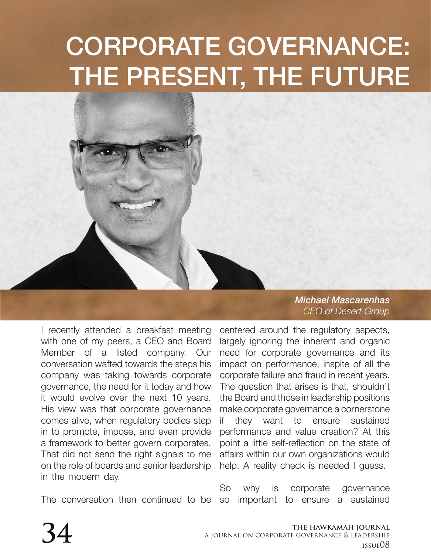## CORPORATE GOVERNANCE: THE PRESENT, THE FUTURE

I recently attended a breakfast meeting with one of my peers, a CEO and Board Member of a listed company. Our conversation wafted towards the steps his company was taking towards corporate governance, the need for it today and how it would evolve over the next 10 years. His view was that corporate governance comes alive, when regulatory bodies step in to promote, impose, and even provide a framework to better govern corporates. That did not send the right signals to me on the role of boards and senior leadership in the modern day.

The conversation then continued to be so important to ensure a sustained

*Michael Mascarenhas CEO of Desert Group*

centered around the regulatory aspects, largely ignoring the inherent and organic need for corporate governance and its impact on performance, inspite of all the corporate failure and fraud in recent years. The question that arises is that, shouldn't the Board and those in leadership positions make corporate governance a cornerstone if they want to ensure sustained performance and value creation? At this point a little self-reflection on the state of affairs within our own organizations would help. A reality check is needed I guess.

So why is corporate governance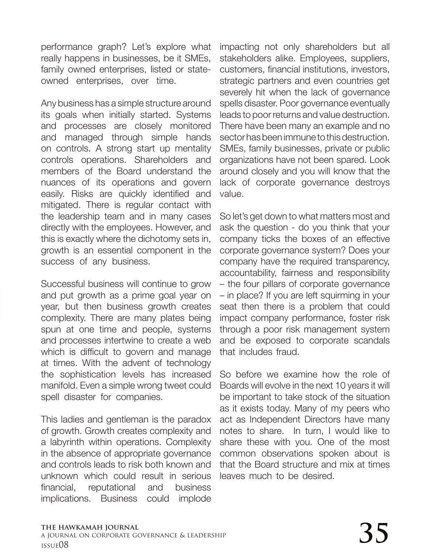performance graph? Let's explore what really happens in businesses, be it SMEs, family owned enterprises, listed or stateowned enterprises, over time.

Any business has a simple structure around its goals when initially started. Systems and processes are closely monitored and managed through simple hands on controls. A strong start up mentality controls operations. Shareholders and members of the Board understand the nuances of its operations and govern easily. Risks are quickly identified and mitigated. There is regular contact with the leadership team and in many cases directly with the employees. However, and this is exactly where the dichotomy sets in, growth is an essential component in the success of any business.

Successful business will continue to grow and put growth as a prime goal year on year, but then business growth creates complexity. There are many plates being spun at one time and people, systems and processes intertwine to create a web which is difficult to govern and manage at times. With the advent of technology the sophistication levels has increased manifold. Even a simple wrong tweet could spell disaster for companies.

This ladies and gentleman is the paradox of growth. Growth creates complexity and a labyrinth within operations. Complexity in the absence of appropriate governance and controls leads to risk both known and unknown which could result in serious financial, reputational and business implications. Business could implode

impacting not only shareholders but all stakeholders alike. Employees, suppliers, customers, financial institutions, investors, strategic partners and even countries get severely hit when the lack of governance spells disaster. Poor governance eventually leads to poor returns and value destruction. There have been many an example and no sector has been immune to this destruction. SMEs, family businesses, private or public organizations have not been spared. Look around closely and you will know that the lack of corporate governance destroys value.

So let's get down to what matters most and ask the question - do you think that your company ticks the boxes of an effective corporate governance system? Does your company have the required transparency, accountability, fairness and responsibility – the four pillars of corporate governance – in place? If you are left squirming in your seat then there is a problem that could impact company performance, foster risk through a poor risk management system and be exposed to corporate scandals that includes fraud.

So before we examine how the role of Boards will evolve in the next 10 years it will be important to take stock of the situation as it exists today. Many of my peers who act as Independent Directors have many notes to share. In turn, I would like to share these with you. One of the most common observations spoken about is that the Board structure and mix at times leaves much to be desired.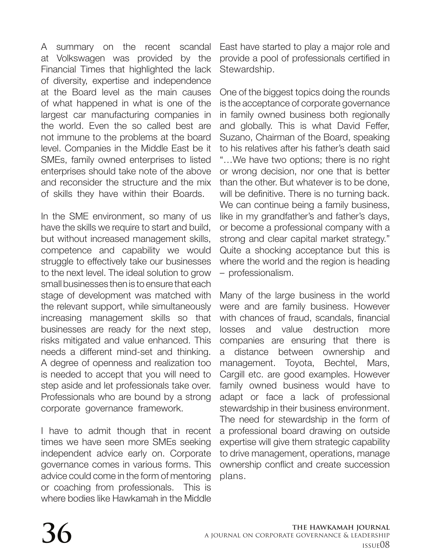A summary on the recent scandal at Volkswagen was provided by the Financial Times that highlighted the lack of diversity, expertise and independence at the Board level as the main causes of what happened in what is one of the largest car manufacturing companies in the world. Even the so called best are not immune to the problems at the board level. Companies in the Middle East be it SMEs, family owned enterprises to listed enterprises should take note of the above and reconsider the structure and the mix of skills they have within their Boards.

In the SME environment, so many of us have the skills we require to start and build, but without increased management skills, competence and capability we would struggle to effectively take our businesses to the next level. The ideal solution to grow small businesses then is to ensure that each stage of development was matched with the relevant support, while simultaneously increasing management skills so that businesses are ready for the next step, risks mitigated and value enhanced. This needs a different mind-set and thinking. A degree of openness and realization too is needed to accept that you will need to step aside and let professionals take over. Professionals who are bound by a strong corporate governance framework.

I have to admit though that in recent times we have seen more SMEs seeking independent advice early on. Corporate governance comes in various forms. This advice could come in the form of mentoring or coaching from professionals. This is where bodies like Hawkamah in the Middle

East have started to play a major role and provide a pool of professionals certified in Stewardship.

One of the biggest topics doing the rounds is the acceptance of corporate governance in family owned business both regionally and globally. This is what David Feffer, Suzano, Chairman of the Board, speaking to his relatives after his father's death said "…We have two options; there is no right or wrong decision, nor one that is better than the other. But whatever is to be done, will be definitive. There is no turning back. We can continue being a family business, like in my grandfather's and father's days, or become a professional company with a strong and clear capital market strategy." Quite a shocking acceptance but this is where the world and the region is heading – professionalism.

Many of the large business in the world were and are family business. However with chances of fraud, scandals, financial losses and value destruction more companies are ensuring that there is a distance between ownership and management. Toyota, Bechtel, Mars, Cargill etc. are good examples. However family owned business would have to adapt or face a lack of professional stewardship in their business environment. The need for stewardship in the form of a professional board drawing on outside expertise will give them strategic capability to drive management, operations, manage ownership conflict and create succession plans.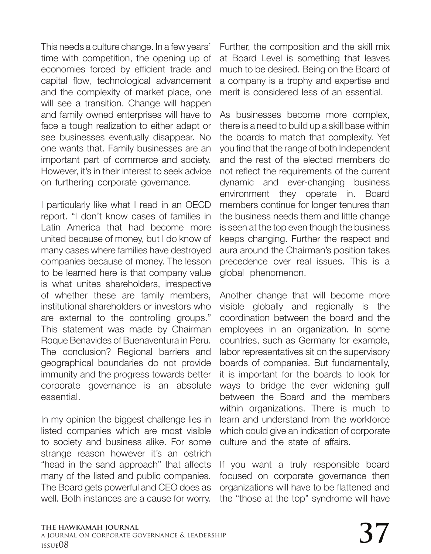This needs a culture change. In a few years' time with competition, the opening up of economies forced by efficient trade and capital flow, technological advancement and the complexity of market place, one will see a transition. Change will happen and family owned enterprises will have to face a tough realization to either adapt or see businesses eventually disappear. No one wants that. Family businesses are an important part of commerce and society. However, it's in their interest to seek advice on furthering corporate governance.

I particularly like what I read in an OECD report. "I don't know cases of families in Latin America that had become more united because of money, but I do know of many cases where families have destroyed companies because of money. The lesson to be learned here is that company value is what unites shareholders, irrespective of whether these are family members, institutional shareholders or investors who are external to the controlling groups." This statement was made by Chairman Roque Benavides of Buenaventura in Peru. The conclusion? Regional barriers and geographical boundaries do not provide immunity and the progress towards better corporate governance is an absolute essential.

In my opinion the biggest challenge lies in listed companies which are most visible to society and business alike. For some strange reason however it's an ostrich "head in the sand approach" that affects many of the listed and public companies. The Board gets powerful and CEO does as well. Both instances are a cause for worry.

Further, the composition and the skill mix at Board Level is something that leaves much to be desired. Being on the Board of a company is a trophy and expertise and merit is considered less of an essential.

As businesses become more complex, there is a need to build up a skill base within the boards to match that complexity. Yet you find that the range of both Independent and the rest of the elected members do not reflect the requirements of the current dynamic and ever-changing business environment they operate in. Board members continue for longer tenures than the business needs them and little change is seen at the top even though the business keeps changing. Further the respect and aura around the Chairman's position takes precedence over real issues. This is a global phenomenon.

Another change that will become more visible globally and regionally is the coordination between the board and the employees in an organization. In some countries, such as Germany for example, labor representatives sit on the supervisory boards of companies. But fundamentally, it is important for the boards to look for ways to bridge the ever widening gulf between the Board and the members within organizations. There is much to learn and understand from the workforce which could give an indication of corporate culture and the state of affairs.

If you want a truly responsible board focused on corporate governance then organizations will have to be flattened and the "those at the top" syndrome will have